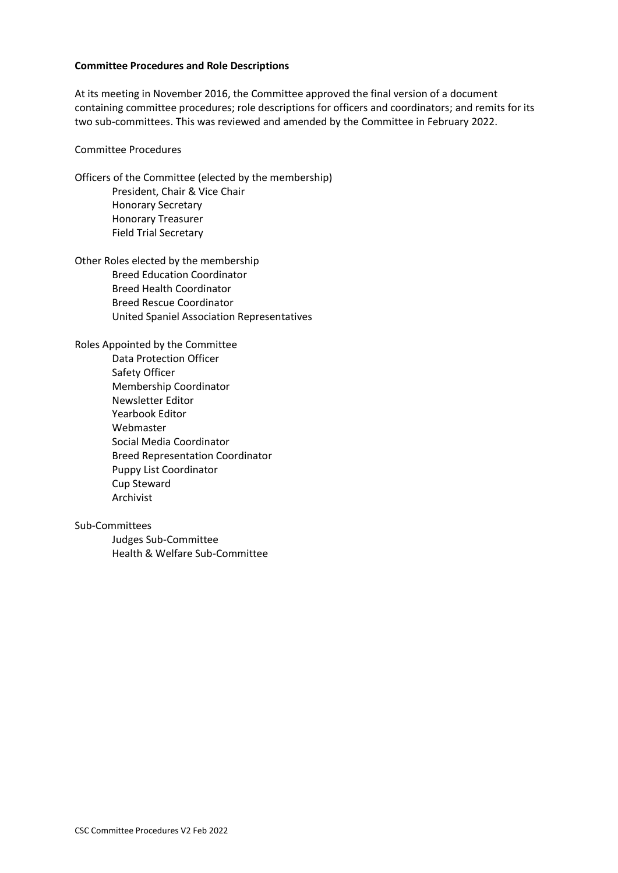#### **Committee Procedures and Role Descriptions**

At its meeting in November 2016, the Committee approved the final version of a document containing committee procedures; role descriptions for officers and coordinators; and remits for its two sub-committees. This was reviewed and amended by the Committee in February 2022.

#### Committee Procedures

Officers of the Committee (elected by the membership) President, Chair & Vice Chair Honorary Secretary Honorary Treasurer Field Trial Secretary

Other Roles elected by the membership Breed Education Coordinator Breed Health Coordinator Breed Rescue Coordinator United Spaniel Association Representatives

Roles Appointed by the Committee Data Protection Officer Safety Officer Membership Coordinator Newsletter Editor Yearbook Editor Webmaster Social Media Coordinator Breed Representation Coordinator Puppy List Coordinator Cup Steward Archivist

#### Sub-Committees

Judges Sub-Committee Health & Welfare Sub-Committee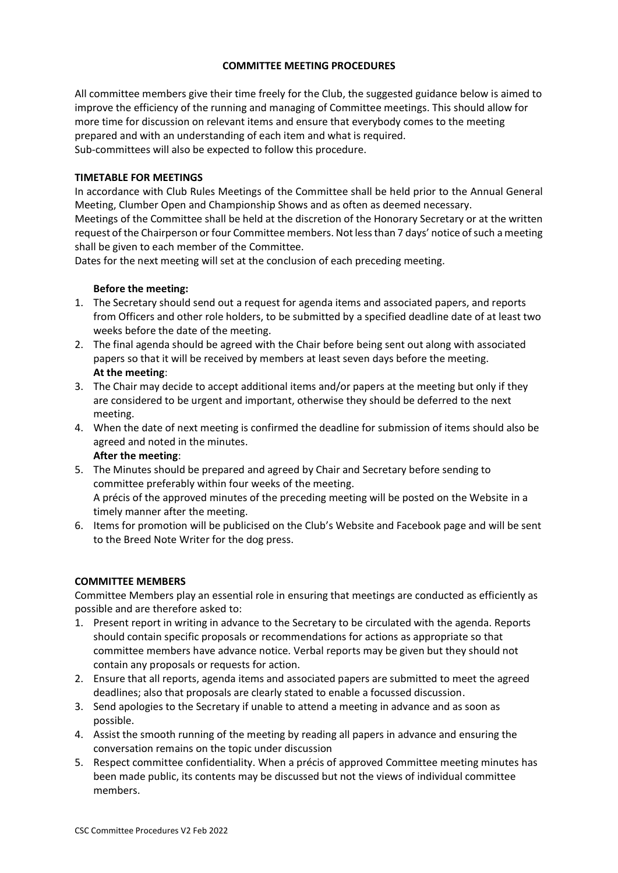# **COMMITTEE MEETING PROCEDURES**

All committee members give their time freely for the Club, the suggested guidance below is aimed to improve the efficiency of the running and managing of Committee meetings. This should allow for more time for discussion on relevant items and ensure that everybody comes to the meeting prepared and with an understanding of each item and what is required. Sub-committees will also be expected to follow this procedure.

# **TIMETABLE FOR MEETINGS**

In accordance with Club Rules Meetings of the Committee shall be held prior to the Annual General Meeting, Clumber Open and Championship Shows and as often as deemed necessary. Meetings of the Committee shall be held at the discretion of the Honorary Secretary or at the written request of the Chairperson or four Committee members. Not less than 7 days' notice of such a meeting shall be given to each member of the Committee.

Dates for the next meeting will set at the conclusion of each preceding meeting.

# **Before the meeting:**

- 1. The Secretary should send out a request for agenda items and associated papers, and reports from Officers and other role holders, to be submitted by a specified deadline date of at least two weeks before the date of the meeting.
- 2. The final agenda should be agreed with the Chair before being sent out along with associated papers so that it will be received by members at least seven days before the meeting. **At the meeting**:
- 3. The Chair may decide to accept additional items and/or papers at the meeting but only if they are considered to be urgent and important, otherwise they should be deferred to the next meeting.
- 4. When the date of next meeting is confirmed the deadline for submission of items should also be agreed and noted in the minutes.

**After the meeting**:

- 5. The Minutes should be prepared and agreed by Chair and Secretary before sending to committee preferably within four weeks of the meeting. A précis of the approved minutes of the preceding meeting will be posted on the Website in a timely manner after the meeting.
- 6. Items for promotion will be publicised on the Club's Website and Facebook page and will be sent to the Breed Note Writer for the dog press.

### **COMMITTEE MEMBERS**

Committee Members play an essential role in ensuring that meetings are conducted as efficiently as possible and are therefore asked to:

- 1. Present report in writing in advance to the Secretary to be circulated with the agenda. Reports should contain specific proposals or recommendations for actions as appropriate so that committee members have advance notice. Verbal reports may be given but they should not contain any proposals or requests for action.
- 2. Ensure that all reports, agenda items and associated papers are submitted to meet the agreed deadlines; also that proposals are clearly stated to enable a focussed discussion.
- 3. Send apologies to the Secretary if unable to attend a meeting in advance and as soon as possible.
- 4. Assist the smooth running of the meeting by reading all papers in advance and ensuring the conversation remains on the topic under discussion
- 5. Respect committee confidentiality. When a précis of approved Committee meeting minutes has been made public, its contents may be discussed but not the views of individual committee members.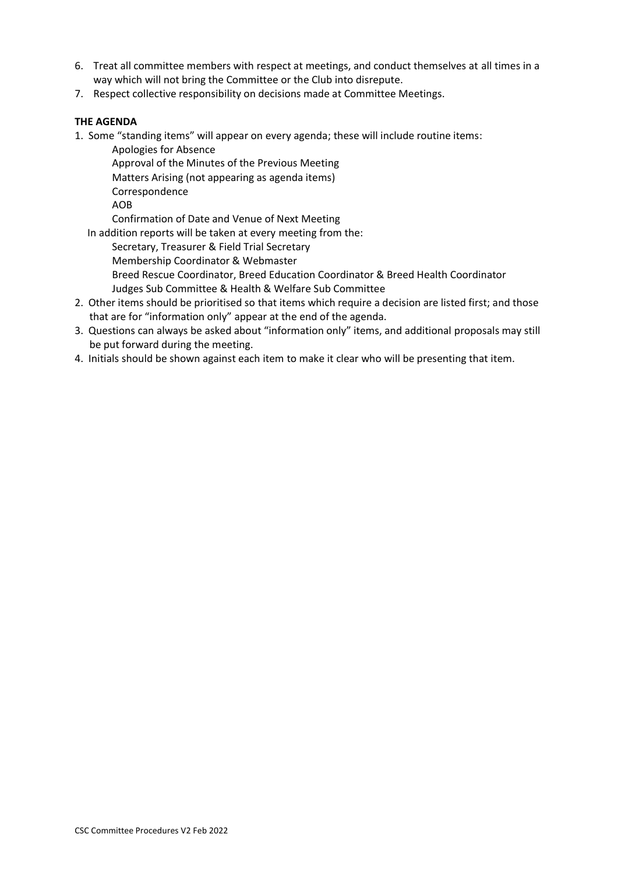- 6. Treat all committee members with respect at meetings, and conduct themselves at all times in a way which will not bring the Committee or the Club into disrepute.
- 7. Respect collective responsibility on decisions made at Committee Meetings.

# **THE AGENDA**

1. Some "standing items" will appear on every agenda; these will include routine items:

Apologies for Absence Approval of the Minutes of the Previous Meeting Matters Arising (not appearing as agenda items) Correspondence AOB

Confirmation of Date and Venue of Next Meeting

In addition reports will be taken at every meeting from the:

Secretary, Treasurer & Field Trial Secretary

Membership Coordinator & Webmaster

Breed Rescue Coordinator, Breed Education Coordinator & Breed Health Coordinator Judges Sub Committee & Health & Welfare Sub Committee

- 2. Other items should be prioritised so that items which require a decision are listed first; and those that are for "information only" appear at the end of the agenda.
- 3. Questions can always be asked about "information only" items, and additional proposals may still be put forward during the meeting.
- 4. Initials should be shown against each item to make it clear who will be presenting that item.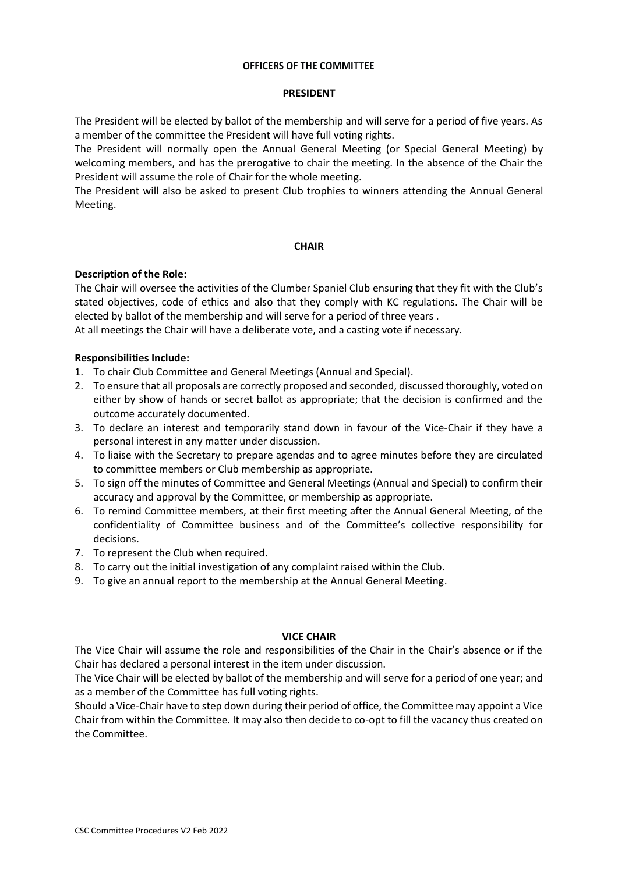#### **OFFICERS OF THE COMMITTEE**

#### **PRESIDENT**

The President will be elected by ballot of the membership and will serve for a period of five years. As a member of the committee the President will have full voting rights.

The President will normally open the Annual General Meeting (or Special General Meeting) by welcoming members, and has the prerogative to chair the meeting. In the absence of the Chair the President will assume the role of Chair for the whole meeting.

The President will also be asked to present Club trophies to winners attending the Annual General Meeting.

#### **CHAIR**

### **Description of the Role:**

The Chair will oversee the activities of the Clumber Spaniel Club ensuring that they fit with the Club's stated objectives, code of ethics and also that they comply with KC regulations. The Chair will be elected by ballot of the membership and will serve for a period of three years .

At all meetings the Chair will have a deliberate vote, and a casting vote if necessary.

#### **Responsibilities Include:**

- 1. To chair Club Committee and General Meetings (Annual and Special).
- 2. To ensure that all proposals are correctly proposed and seconded, discussed thoroughly, voted on either by show of hands or secret ballot as appropriate; that the decision is confirmed and the outcome accurately documented.
- 3. To declare an interest and temporarily stand down in favour of the Vice-Chair if they have a personal interest in any matter under discussion.
- 4. To liaise with the Secretary to prepare agendas and to agree minutes before they are circulated to committee members or Club membership as appropriate.
- 5. To sign off the minutes of Committee and General Meetings (Annual and Special) to confirm their accuracy and approval by the Committee, or membership as appropriate.
- 6. To remind Committee members, at their first meeting after the Annual General Meeting, of the confidentiality of Committee business and of the Committee's collective responsibility for decisions.
- 7. To represent the Club when required.
- 8. To carry out the initial investigation of any complaint raised within the Club.
- 9. To give an annual report to the membership at the Annual General Meeting.

#### **VICE CHAIR**

The Vice Chair will assume the role and responsibilities of the Chair in the Chair's absence or if the Chair has declared a personal interest in the item under discussion.

The Vice Chair will be elected by ballot of the membership and will serve for a period of one year; and as a member of the Committee has full voting rights.

Should a Vice-Chair have to step down during their period of office, the Committee may appoint a Vice Chair from within the Committee. It may also then decide to co-opt to fill the vacancy thus created on the Committee.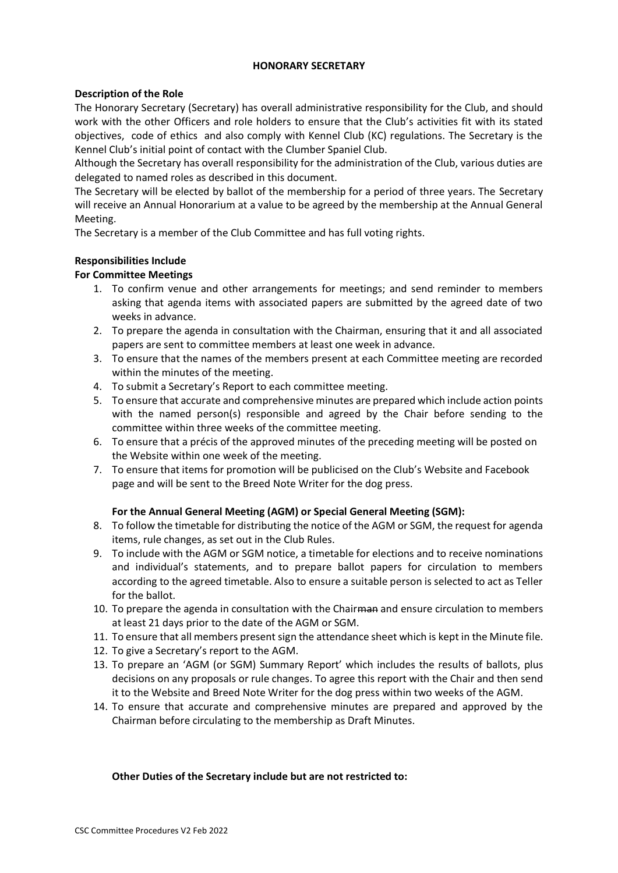### **HONORARY SECRETARY**

# **Description of the Role**

The Honorary Secretary (Secretary) has overall administrative responsibility for the Club, and should work with the other Officers and role holders to ensure that the Club's activities fit with its stated objectives, code of ethics and also comply with Kennel Club (KC) regulations. The Secretary is the Kennel Club's initial point of contact with the Clumber Spaniel Club.

Although the Secretary has overall responsibility for the administration of the Club, various duties are delegated to named roles as described in this document.

The Secretary will be elected by ballot of the membership for a period of three years. The Secretary will receive an Annual Honorarium at a value to be agreed by the membership at the Annual General Meeting.

The Secretary is a member of the Club Committee and has full voting rights.

# **Responsibilities Include**

# **For Committee Meetings**

- 1. To confirm venue and other arrangements for meetings; and send reminder to members asking that agenda items with associated papers are submitted by the agreed date of two weeks in advance.
- 2. To prepare the agenda in consultation with the Chairman, ensuring that it and all associated papers are sent to committee members at least one week in advance.
- 3. To ensure that the names of the members present at each Committee meeting are recorded within the minutes of the meeting.
- 4. To submit a Secretary's Report to each committee meeting.
- 5. To ensure that accurate and comprehensive minutes are prepared which include action points with the named person(s) responsible and agreed by the Chair before sending to the committee within three weeks of the committee meeting.
- 6. To ensure that a précis of the approved minutes of the preceding meeting will be posted on the Website within one week of the meeting.
- 7. To ensure that items for promotion will be publicised on the Club's Website and Facebook page and will be sent to the Breed Note Writer for the dog press.

### **For the Annual General Meeting (AGM) or Special General Meeting (SGM):**

- 8. To follow the timetable for distributing the notice of the AGM or SGM, the request for agenda items, rule changes, as set out in the Club Rules.
- 9. To include with the AGM or SGM notice, a timetable for elections and to receive nominations and individual's statements, and to prepare ballot papers for circulation to members according to the agreed timetable. Also to ensure a suitable person is selected to act as Teller for the ballot.
- 10. To prepare the agenda in consultation with the Chairman and ensure circulation to members at least 21 days prior to the date of the AGM or SGM.
- 11. To ensure that all members present sign the attendance sheet which is kept in the Minute file.
- 12. To give a Secretary's report to the AGM.
- 13. To prepare an 'AGM (or SGM) Summary Report' which includes the results of ballots, plus decisions on any proposals or rule changes. To agree this report with the Chair and then send it to the Website and Breed Note Writer for the dog press within two weeks of the AGM.
- 14. To ensure that accurate and comprehensive minutes are prepared and approved by the Chairman before circulating to the membership as Draft Minutes.

### **Other Duties of the Secretary include but are not restricted to:**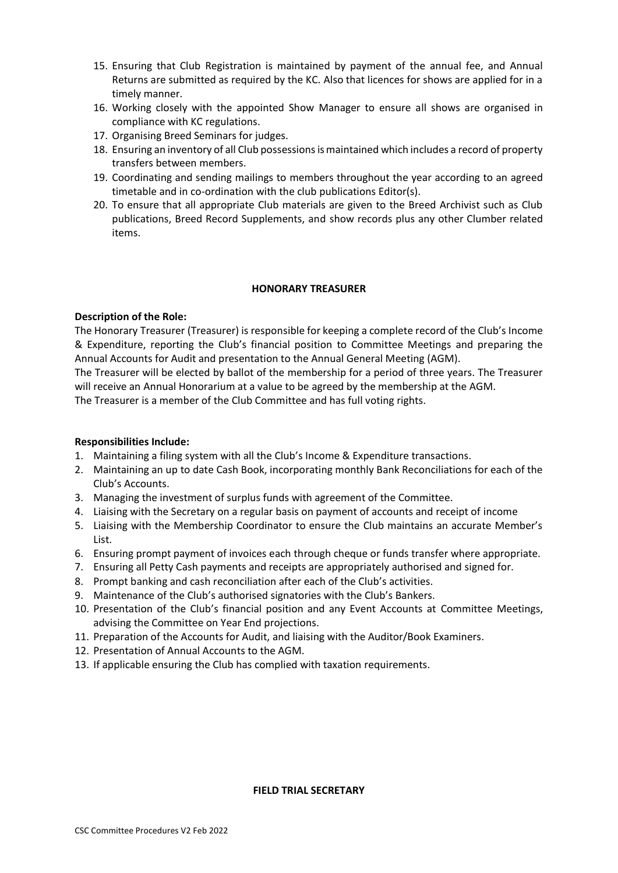- 15. Ensuring that Club Registration is maintained by payment of the annual fee, and Annual Returns are submitted as required by the KC. Also that licences for shows are applied for in a timely manner.
- 16. Working closely with the appointed Show Manager to ensure all shows are organised in compliance with KC regulations.
- 17. Organising Breed Seminars for judges.
- 18. Ensuring an inventory of all Club possessions is maintained which includes a record of property transfers between members.
- 19. Coordinating and sending mailings to members throughout the year according to an agreed timetable and in co-ordination with the club publications Editor(s).
- 20. To ensure that all appropriate Club materials are given to the Breed Archivist such as Club publications, Breed Record Supplements, and show records plus any other Clumber related items.

#### **HONORARY TREASURER**

### **Description of the Role:**

The Honorary Treasurer (Treasurer) is responsible for keeping a complete record of the Club's Income & Expenditure, reporting the Club's financial position to Committee Meetings and preparing the Annual Accounts for Audit and presentation to the Annual General Meeting (AGM).

The Treasurer will be elected by ballot of the membership for a period of three years. The Treasurer will receive an Annual Honorarium at a value to be agreed by the membership at the AGM.

The Treasurer is a member of the Club Committee and has full voting rights.

### **Responsibilities Include:**

- 1. Maintaining a filing system with all the Club's Income & Expenditure transactions.
- 2. Maintaining an up to date Cash Book, incorporating monthly Bank Reconciliations for each of the Club's Accounts.
- 3. Managing the investment of surplus funds with agreement of the Committee.
- 4. Liaising with the Secretary on a regular basis on payment of accounts and receipt of income
- 5. Liaising with the Membership Coordinator to ensure the Club maintains an accurate Member's List.
- 6. Ensuring prompt payment of invoices each through cheque or funds transfer where appropriate.
- 7. Ensuring all Petty Cash payments and receipts are appropriately authorised and signed for.
- 8. Prompt banking and cash reconciliation after each of the Club's activities.
- 9. Maintenance of the Club's authorised signatories with the Club's Bankers.
- 10. Presentation of the Club's financial position and any Event Accounts at Committee Meetings, advising the Committee on Year End projections.
- 11. Preparation of the Accounts for Audit, and liaising with the Auditor/Book Examiners.
- 12. Presentation of Annual Accounts to the AGM.
- 13. If applicable ensuring the Club has complied with taxation requirements.

# **FIELD TRIAL SECRETARY**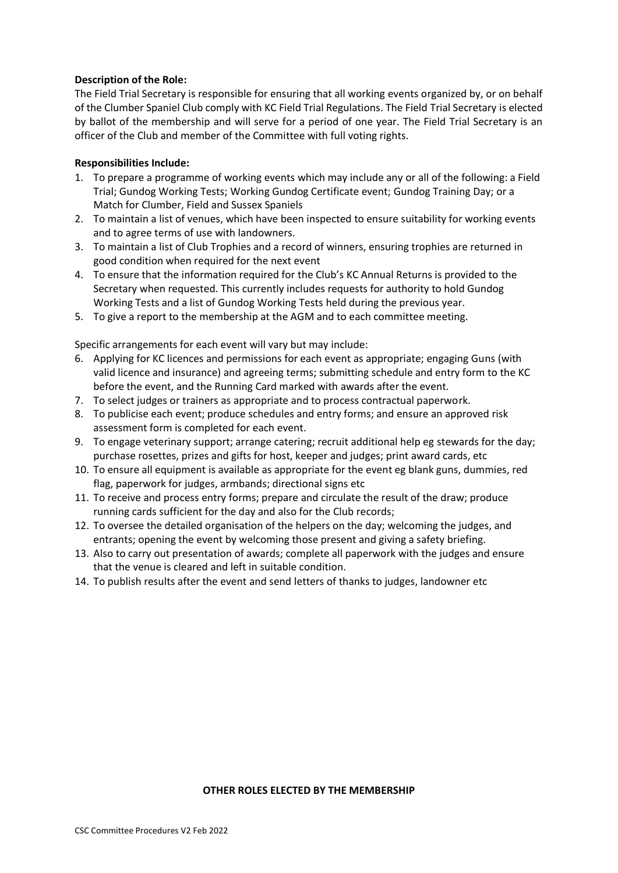# **Description of the Role:**

The Field Trial Secretary is responsible for ensuring that all working events organized by, or on behalf of the Clumber Spaniel Club comply with KC Field Trial Regulations. The Field Trial Secretary is elected by ballot of the membership and will serve for a period of one year. The Field Trial Secretary is an officer of the Club and member of the Committee with full voting rights.

# **Responsibilities Include:**

- 1. To prepare a programme of working events which may include any or all of the following: a Field Trial; Gundog Working Tests; Working Gundog Certificate event; Gundog Training Day; or a Match for Clumber, Field and Sussex Spaniels
- 2. To maintain a list of venues, which have been inspected to ensure suitability for working events and to agree terms of use with landowners.
- 3. To maintain a list of Club Trophies and a record of winners, ensuring trophies are returned in good condition when required for the next event
- 4. To ensure that the information required for the Club's KC Annual Returns is provided to the Secretary when requested. This currently includes requests for authority to hold Gundog Working Tests and a list of Gundog Working Tests held during the previous year.
- 5. To give a report to the membership at the AGM and to each committee meeting.

Specific arrangements for each event will vary but may include:

- 6. Applying for KC licences and permissions for each event as appropriate; engaging Guns (with valid licence and insurance) and agreeing terms; submitting schedule and entry form to the KC before the event, and the Running Card marked with awards after the event.
- 7. To select judges or trainers as appropriate and to process contractual paperwork.
- 8. To publicise each event; produce schedules and entry forms; and ensure an approved risk assessment form is completed for each event.
- 9. To engage veterinary support; arrange catering; recruit additional help eg stewards for the day; purchase rosettes, prizes and gifts for host, keeper and judges; print award cards, etc
- 10. To ensure all equipment is available as appropriate for the event eg blank guns, dummies, red flag, paperwork for judges, armbands; directional signs etc
- 11. To receive and process entry forms; prepare and circulate the result of the draw; produce running cards sufficient for the day and also for the Club records;
- 12. To oversee the detailed organisation of the helpers on the day; welcoming the judges, and entrants; opening the event by welcoming those present and giving a safety briefing.
- 13. Also to carry out presentation of awards; complete all paperwork with the judges and ensure that the venue is cleared and left in suitable condition.
- 14. To publish results after the event and send letters of thanks to judges, landowner etc

#### **OTHER ROLES ELECTED BY THE MEMBERSHIP**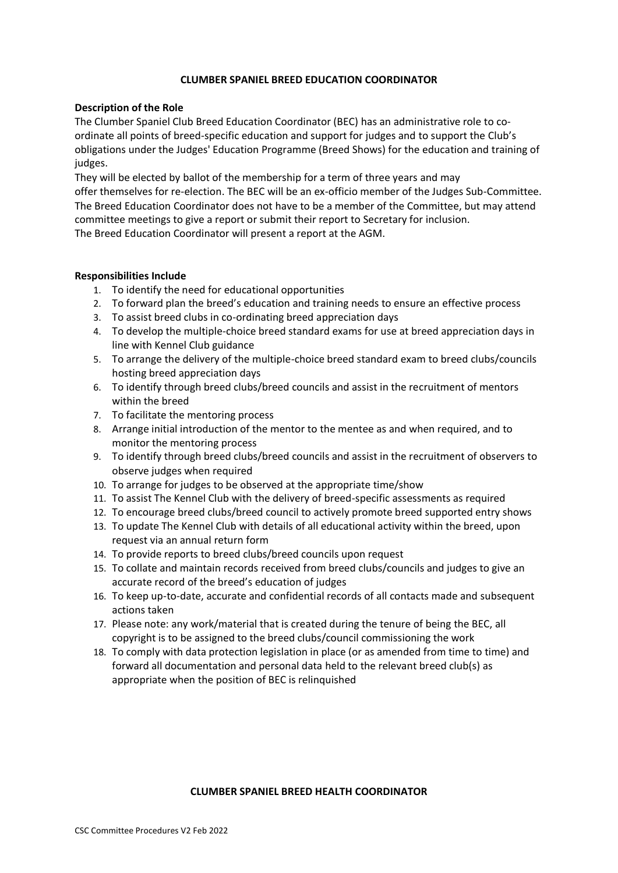### **CLUMBER SPANIEL BREED EDUCATION COORDINATOR**

### **Description of the Role**

The Clumber Spaniel Club Breed Education Coordinator (BEC) has an administrative role to coordinate all points of breed-specific education and support for judges and to support the Club's obligations under the Judges' Education Programme (Breed Shows) for the education and training of judges.

They will be elected by ballot of the membership for a term of three years and may offer themselves for re-election. The BEC will be an ex-officio member of the Judges Sub-Committee. The Breed Education Coordinator does not have to be a member of the Committee, but may attend committee meetings to give a report or submit their report to Secretary for inclusion. The Breed Education Coordinator will present a report at the AGM.

#### **Responsibilities Include**

- 1. To identify the need for educational opportunities
- 2. To forward plan the breed's education and training needs to ensure an effective process
- 3. To assist breed clubs in co-ordinating breed appreciation days
- 4. To develop the multiple-choice breed standard exams for use at breed appreciation days in line with Kennel Club guidance
- 5. To arrange the delivery of the multiple-choice breed standard exam to breed clubs/councils hosting breed appreciation days
- 6. To identify through breed clubs/breed councils and assist in the recruitment of mentors within the breed
- 7. To facilitate the mentoring process
- 8. Arrange initial introduction of the mentor to the mentee as and when required, and to monitor the mentoring process
- 9. To identify through breed clubs/breed councils and assist in the recruitment of observers to observe judges when required
- 10. To arrange for judges to be observed at the appropriate time/show
- 11. To assist The Kennel Club with the delivery of breed-specific assessments as required
- 12. To encourage breed clubs/breed council to actively promote breed supported entry shows
- 13. To update The Kennel Club with details of all educational activity within the breed, upon request via an annual return form
- 14. To provide reports to breed clubs/breed councils upon request
- 15. To collate and maintain records received from breed clubs/councils and judges to give an accurate record of the breed's education of judges
- 16. To keep up-to-date, accurate and confidential records of all contacts made and subsequent actions taken
- 17. Please note: any work/material that is created during the tenure of being the BEC, all copyright is to be assigned to the breed clubs/council commissioning the work
- 18. To comply with data protection legislation in place (or as amended from time to time) and forward all documentation and personal data held to the relevant breed club(s) as appropriate when the position of BEC is relinquished

#### **CLUMBER SPANIEL BREED HEALTH COORDINATOR**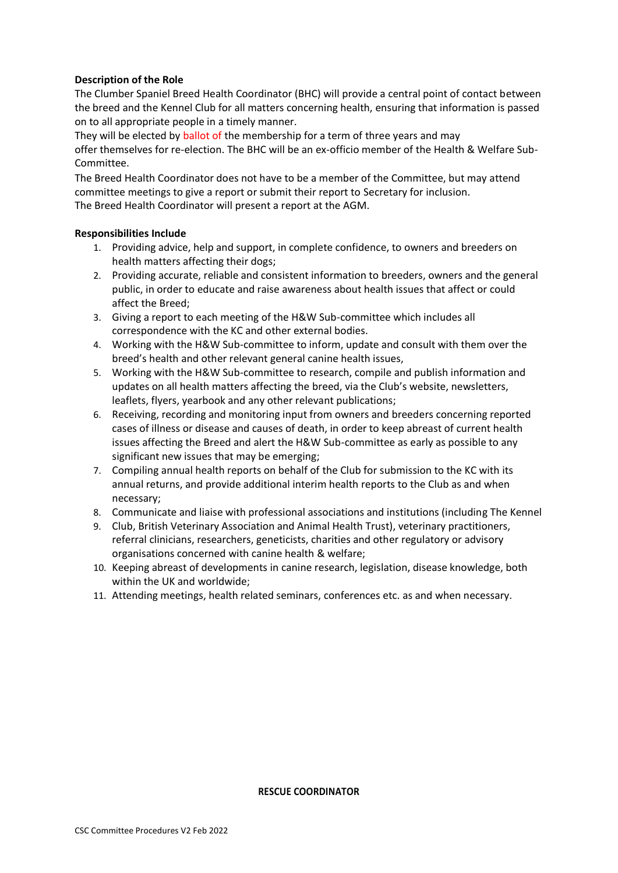# **Description of the Role**

The Clumber Spaniel Breed Health Coordinator (BHC) will provide a central point of contact between the breed and the Kennel Club for all matters concerning health, ensuring that information is passed on to all appropriate people in a timely manner.

They will be elected by ballot of the membership for a term of three years and may offer themselves for re-election. The BHC will be an ex-officio member of the Health & Welfare Sub-Committee.

The Breed Health Coordinator does not have to be a member of the Committee, but may attend committee meetings to give a report or submit their report to Secretary for inclusion. The Breed Health Coordinator will present a report at the AGM.

### **Responsibilities Include**

- 1. Providing advice, help and support, in complete confidence, to owners and breeders on health matters affecting their dogs;
- 2. Providing accurate, reliable and consistent information to breeders, owners and the general public, in order to educate and raise awareness about health issues that affect or could affect the Breed;
- 3. Giving a report to each meeting of the H&W Sub-committee which includes all correspondence with the KC and other external bodies.
- 4. Working with the H&W Sub-committee to inform, update and consult with them over the breed's health and other relevant general canine health issues,
- 5. Working with the H&W Sub-committee to research, compile and publish information and updates on all health matters affecting the breed, via the Club's website, newsletters, leaflets, flyers, yearbook and any other relevant publications;
- 6. Receiving, recording and monitoring input from owners and breeders concerning reported cases of illness or disease and causes of death, in order to keep abreast of current health issues affecting the Breed and alert the H&W Sub-committee as early as possible to any significant new issues that may be emerging;
- 7. Compiling annual health reports on behalf of the Club for submission to the KC with its annual returns, and provide additional interim health reports to the Club as and when necessary;
- 8. Communicate and liaise with professional associations and institutions (including The Kennel
- 9. Club, British Veterinary Association and Animal Health Trust), veterinary practitioners, referral clinicians, researchers, geneticists, charities and other regulatory or advisory organisations concerned with canine health & welfare;
- 10. Keeping abreast of developments in canine research, legislation, disease knowledge, both within the UK and worldwide;
- 11. Attending meetings, health related seminars, conferences etc. as and when necessary.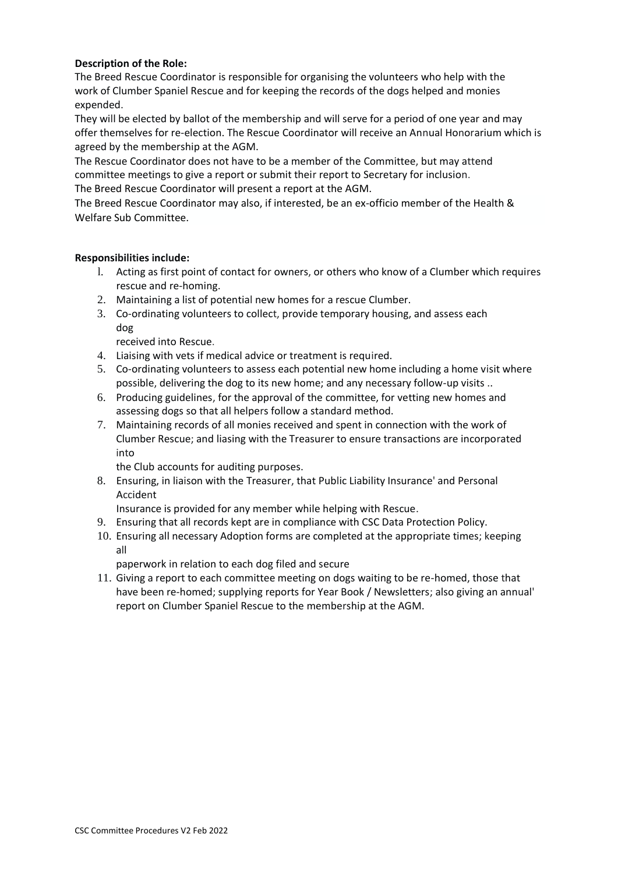# **Description of the Role:**

The Breed Rescue Coordinator is responsible for organising the volunteers who help with the work of Clumber Spaniel Rescue and for keeping the records of the dogs helped and monies expended.

They will be elected by ballot of the membership and will serve for a period of one year and may offer themselves for re-election. The Rescue Coordinator will receive an Annual Honorarium which is agreed by the membership at the AGM.

The Rescue Coordinator does not have to be a member of the Committee, but may attend committee meetings to give a report or submit their report to Secretary for inclusion. The Breed Rescue Coordinator will present a report at the AGM.

The Breed Rescue Coordinator may also, if interested, be an ex-officio member of the Health & Welfare Sub Committee.

# **Responsibilities include:**

- l. Acting as first point of contact for owners, or others who know of a Clumber which requires rescue and re-homing.
- 2. Maintaining a list of potential new homes for a rescue Clumber.
- 3. Co-ordinating volunteers to collect, provide temporary housing, and assess each dog

received into Rescue.

- 4. Liaising with vets if medical advice or treatment is required.
- 5. Co-ordinating volunteers to assess each potential new home including a home visit where possible, delivering the dog to its new home; and any necessary follow-up visits ..
- 6. Producing guidelines, for the approval of the committee, for vetting new homes and assessing dogs so that all helpers follow a standard method.
- 7. Maintaining records of all monies received and spent in connection with the work of Clumber Rescue; and liasing with the Treasurer to ensure transactions are incorporated into

the Club accounts for auditing purposes.

8. Ensuring, in liaison with the Treasurer, that Public Liability Insurance' and Personal Accident

Insurance is provided for any member while helping with Rescue.

- 9. Ensuring that all records kept are in compliance with CSC Data Protection Policy.
- 10. Ensuring all necessary Adoption forms are completed at the appropriate times; keeping all

paperwork in relation to each dog filed and secure

11. Giving a report to each committee meeting on dogs waiting to be re-homed, those that have been re-homed; supplying reports for Year Book / Newsletters; also giving an annual' report on Clumber Spaniel Rescue to the membership at the AGM.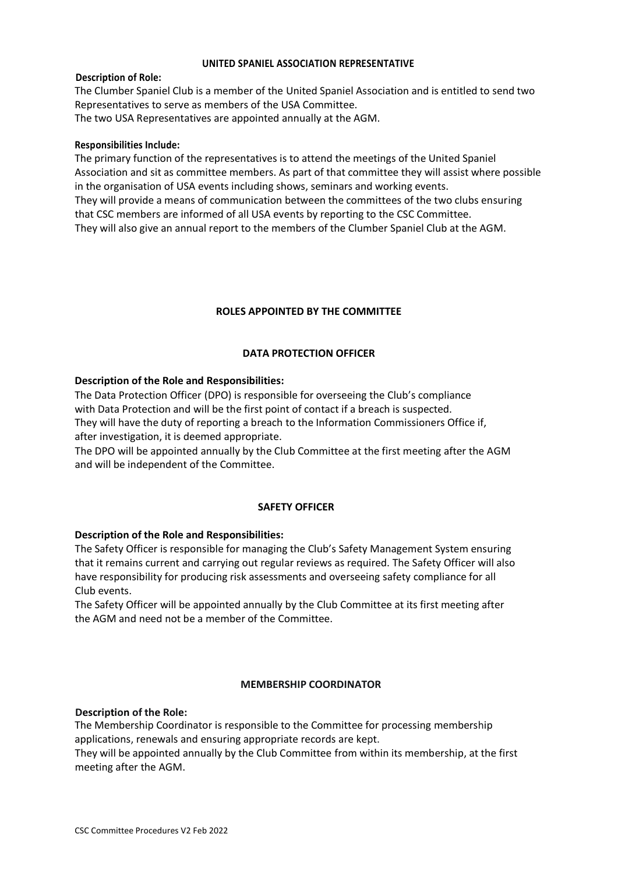#### **UNITED SPANIEL ASSOCIATION REPRESENTATIVE**

#### **Description of Role:**

The Clumber Spaniel Club is a member of the United Spaniel Association and is entitled to send two Representatives to serve as members of the USA Committee.

The two USA Representatives are appointed annually at the AGM.

#### **Responsibilities Include:**

The primary function of the representatives is to attend the meetings of the United Spaniel Association and sit as committee members. As part of that committee they will assist where possible in the organisation of USA events including shows, seminars and working events. They will provide a means of communication between the committees of the two clubs ensuring that CSC members are informed of all USA events by reporting to the CSC Committee. They will also give an annual report to the members of the Clumber Spaniel Club at the AGM.

### **ROLES APPOINTED BY THE COMMITTEE**

### **DATA PROTECTION OFFICER**

### **Description of the Role and Responsibilities:**

The Data Protection Officer (DPO) is responsible for overseeing the Club's compliance with Data Protection and will be the first point of contact if a breach is suspected. They will have the duty of reporting a breach to the Information Commissioners Office if,

after investigation, it is deemed appropriate.

The DPO will be appointed annually by the Club Committee at the first meeting after the AGM and will be independent of the Committee.

### **SAFETY OFFICER**

### **Description of the Role and Responsibilities:**

The Safety Officer is responsible for managing the Club's Safety Management System ensuring that it remains current and carrying out regular reviews as required. The Safety Officer will also have responsibility for producing risk assessments and overseeing safety compliance for all Club events.

The Safety Officer will be appointed annually by the Club Committee at its first meeting after the AGM and need not be a member of the Committee.

### **MEMBERSHIP COORDINATOR**

### **Description of the Role:**

The Membership Coordinator is responsible to the Committee for processing membership applications, renewals and ensuring appropriate records are kept.

They will be appointed annually by the Club Committee from within its membership, at the first meeting after the AGM.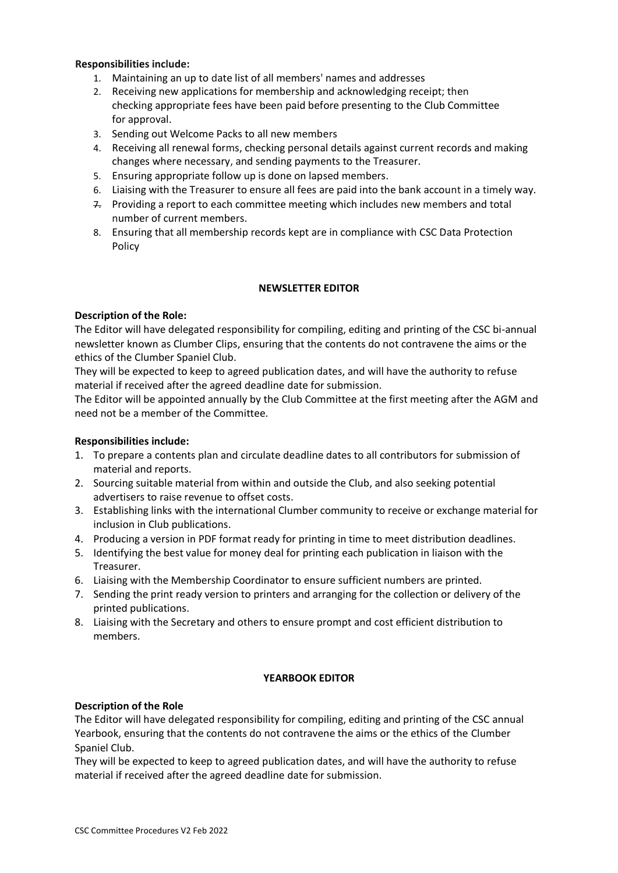### **Responsibilities include:**

- 1. Maintaining an up to date list of all members' names and addresses
- 2. Receiving new applications for membership and acknowledging receipt; then checking appropriate fees have been paid before presenting to the Club Committee for approval.
- 3. Sending out Welcome Packs to all new members
- 4. Receiving all renewal forms, checking personal details against current records and making changes where necessary, and sending payments to the Treasurer.
- 5. Ensuring appropriate follow up is done on lapsed members.
- 6. Liaising with the Treasurer to ensure all fees are paid into the bank account in a timely way.
- $7.$  Providing a report to each committee meeting which includes new members and total number of current members.
- 8. Ensuring that all membership records kept are in compliance with CSC Data Protection Policy

### **NEWSLETTER EDITOR**

### **Description of the Role:**

The Editor will have delegated responsibility for compiling, editing and printing of the CSC bi-annual newsletter known as Clumber Clips, ensuring that the contents do not contravene the aims or the ethics of the Clumber Spaniel Club.

They will be expected to keep to agreed publication dates, and will have the authority to refuse material if received after the agreed deadline date for submission.

The Editor will be appointed annually by the Club Committee at the first meeting after the AGM and need not be a member of the Committee.

### **Responsibilities include:**

- 1. To prepare a contents plan and circulate deadline dates to all contributors for submission of material and reports.
- 2. Sourcing suitable material from within and outside the Club, and also seeking potential advertisers to raise revenue to offset costs.
- 3. Establishing links with the international Clumber community to receive or exchange material for inclusion in Club publications.
- 4. Producing a version in PDF format ready for printing in time to meet distribution deadlines.
- 5. Identifying the best value for money deal for printing each publication in liaison with the Treasurer.
- 6. Liaising with the Membership Coordinator to ensure sufficient numbers are printed.
- 7. Sending the print ready version to printers and arranging for the collection or delivery of the printed publications.
- 8. Liaising with the Secretary and others to ensure prompt and cost efficient distribution to members.

### **YEARBOOK EDITOR**

### **Description of the Role**

The Editor will have delegated responsibility for compiling, editing and printing of the CSC annual Yearbook, ensuring that the contents do not contravene the aims or the ethics of the Clumber Spaniel Club.

They will be expected to keep to agreed publication dates, and will have the authority to refuse material if received after the agreed deadline date for submission.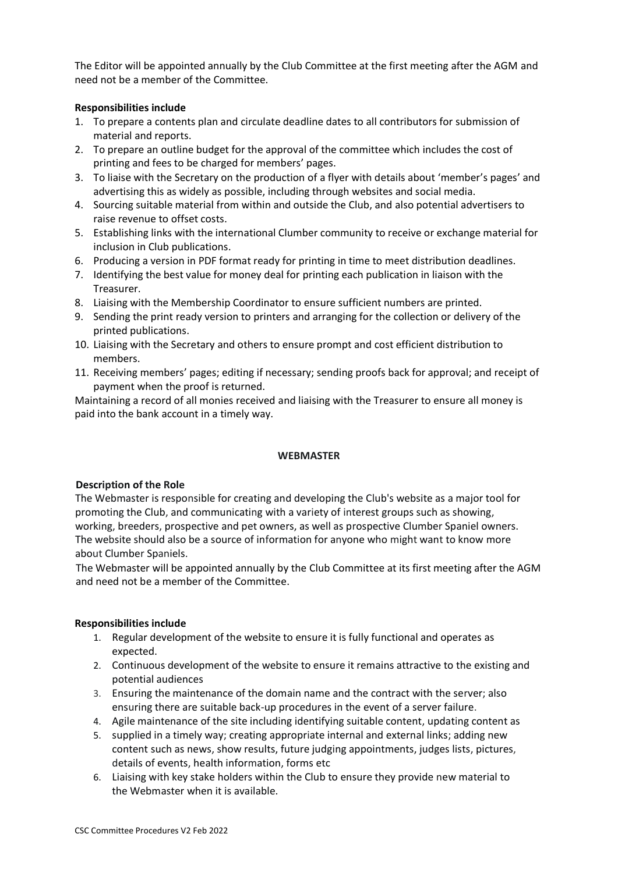The Editor will be appointed annually by the Club Committee at the first meeting after the AGM and need not be a member of the Committee.

# **Responsibilities include**

- 1. To prepare a contents plan and circulate deadline dates to all contributors for submission of material and reports.
- 2. To prepare an outline budget for the approval of the committee which includes the cost of printing and fees to be charged for members' pages.
- 3. To liaise with the Secretary on the production of a flyer with details about 'member's pages' and advertising this as widely as possible, including through websites and social media.
- 4. Sourcing suitable material from within and outside the Club, and also potential advertisers to raise revenue to offset costs.
- 5. Establishing links with the international Clumber community to receive or exchange material for inclusion in Club publications.
- 6. Producing a version in PDF format ready for printing in time to meet distribution deadlines.
- 7. Identifying the best value for money deal for printing each publication in liaison with the Treasurer.
- 8. Liaising with the Membership Coordinator to ensure sufficient numbers are printed.
- 9. Sending the print ready version to printers and arranging for the collection or delivery of the printed publications.
- 10. Liaising with the Secretary and others to ensure prompt and cost efficient distribution to members.
- 11. Receiving members' pages; editing if necessary; sending proofs back for approval; and receipt of payment when the proof is returned.

Maintaining a record of all monies received and liaising with the Treasurer to ensure all money is paid into the bank account in a timely way.

### **WEBMASTER**

### **Description of the Role**

The Webmaster is responsible for creating and developing the Club's website as a major tool for promoting the Club, and communicating with a variety of interest groups such as showing, working, breeders, prospective and pet owners, as well as prospective Clumber Spaniel owners. The website should also be a source of information for anyone who might want to know more about Clumber Spaniels.

The Webmaster will be appointed annually by the Club Committee at its first meeting after the AGM and need not be a member of the Committee.

# **Responsibilities include**

- 1. Regular development of the website to ensure it is fully functional and operates as expected.
- 2. Continuous development of the website to ensure it remains attractive to the existing and potential audiences
- 3. Ensuring the maintenance of the domain name and the contract with the server; also ensuring there are suitable back-up procedures in the event of a server failure.
- 4. Agile maintenance of the site including identifying suitable content, updating content as
- 5. supplied in a timely way; creating appropriate internal and external links; adding new content such as news, show results, future judging appointments, judges lists, pictures, details of events, health information, forms etc
- 6. Liaising with key stake holders within the Club to ensure they provide new material to the Webmaster when it is available.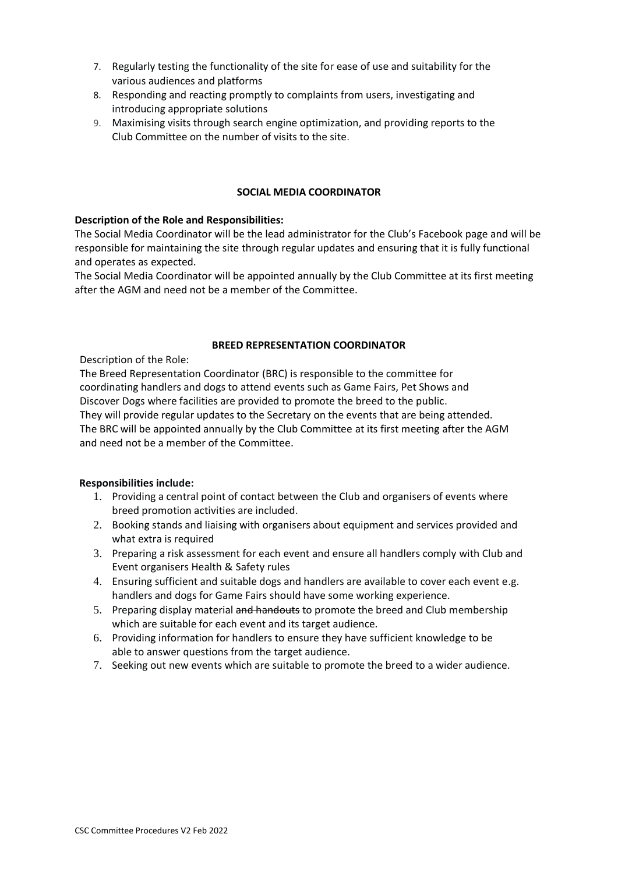- 7. Regularly testing the functionality of the site for ease of use and suitability for the various audiences and platforms
- 8. Responding and reacting promptly to complaints from users, investigating and introducing appropriate solutions
- 9. Maximising visits through search engine optimization, and providing reports to the Club Committee on the number of visits to the site.

#### **SOCIAL MEDIA COORDINATOR**

### **Description of the Role and Responsibilities:**

The Social Media Coordinator will be the lead administrator for the Club's Facebook page and will be responsible for maintaining the site through regular updates and ensuring that it is fully functional and operates as expected.

The Social Media Coordinator will be appointed annually by the Club Committee at its first meeting after the AGM and need not be a member of the Committee.

### **BREED REPRESENTATION COORDINATOR**

Description of the Role:

The Breed Representation Coordinator (BRC) is responsible to the committee for coordinating handlers and dogs to attend events such as Game Fairs, Pet Shows and Discover Dogs where facilities are provided to promote the breed to the public.

They will provide regular updates to the Secretary on the events that are being attended. The BRC will be appointed annually by the Club Committee at its first meeting after the AGM and need not be a member of the Committee.

### **Responsibilities include:**

- 1. Providing a central point of contact between the Club and organisers of events where breed promotion activities are included.
- 2. Booking stands and liaising with organisers about equipment and services provided and what extra is required
- 3. Preparing a risk assessment for each event and ensure all handlers comply with Club and Event organisers Health & Safety rules
- 4. Ensuring sufficient and suitable dogs and handlers are available to cover each event e.g. handlers and dogs for Game Fairs should have some working experience.
- 5. Preparing display material and handouts to promote the breed and Club membership which are suitable for each event and its target audience.
- 6. Providing information for handlers to ensure they have sufficient knowledge to be able to answer questions from the target audience.
- 7. Seeking out new events which are suitable to promote the breed to a wider audience.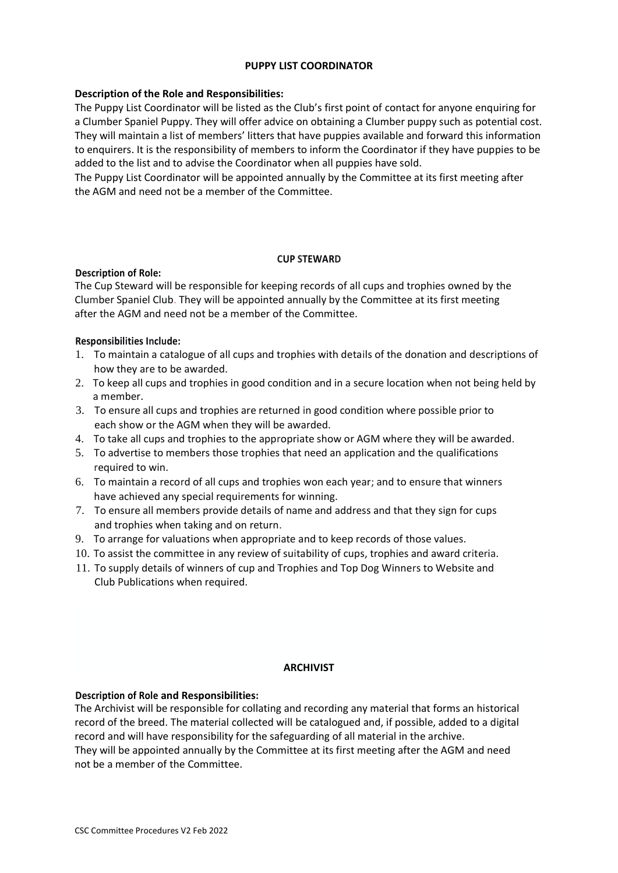### **PUPPY LIST COORDINATOR**

# **Description of the Role and Responsibilities:**

The Puppy List Coordinator will be listed as the Club's first point of contact for anyone enquiring for a Clumber Spaniel Puppy. They will offer advice on obtaining a Clumber puppy such as potential cost. They will maintain a list of members' litters that have puppies available and forward this information to enquirers. It is the responsibility of members to inform the Coordinator if they have puppies to be added to the list and to advise the Coordinator when all puppies have sold.

The Puppy List Coordinator will be appointed annually by the Committee at its first meeting after the AGM and need not be a member of the Committee.

### **CUP STEWARD**

# **Description of Role:**

The Cup Steward will be responsible for keeping records of all cups and trophies owned by the Clumber Spaniel Club. They will be appointed annually by the Committee at its first meeting after the AGM and need not be a member of the Committee.

# **Responsibilities Include:**

- 1. To maintain a catalogue of all cups and trophies with details of the donation and descriptions of how they are to be awarded.
- 2. To keep all cups and trophies in good condition and in a secure location when not being held by a member.
- 3. To ensure all cups and trophies are returned in good condition where possible prior to each show or the AGM when they will be awarded.
- 4. To take all cups and trophies to the appropriate show or AGM where they will be awarded.
- 5. To advertise to members those trophies that need an application and the qualifications required to win.
- 6. To maintain a record of all cups and trophies won each year; and to ensure that winners have achieved any special requirements for winning.
- 7. To ensure all members provide details of name and address and that they sign for cups and trophies when taking and on return.
- 9. To arrange for valuations when appropriate and to keep records of those values.
- 10. To assist the committee in any review of suitability of cups, trophies and award criteria.
- 11. To supply details of winners of cup and Trophies and Top Dog Winners to Website and Club Publications when required.

### **ARCHIVIST**

### **Description of Role and Responsibilities:**

The Archivist will be responsible for collating and recording any material that forms an historical record of the breed. The material collected will be catalogued and, if possible, added to a digital record and will have responsibility for the safeguarding of all material in the archive.

They will be appointed annually by the Committee at its first meeting after the AGM and need not be a member of the Committee.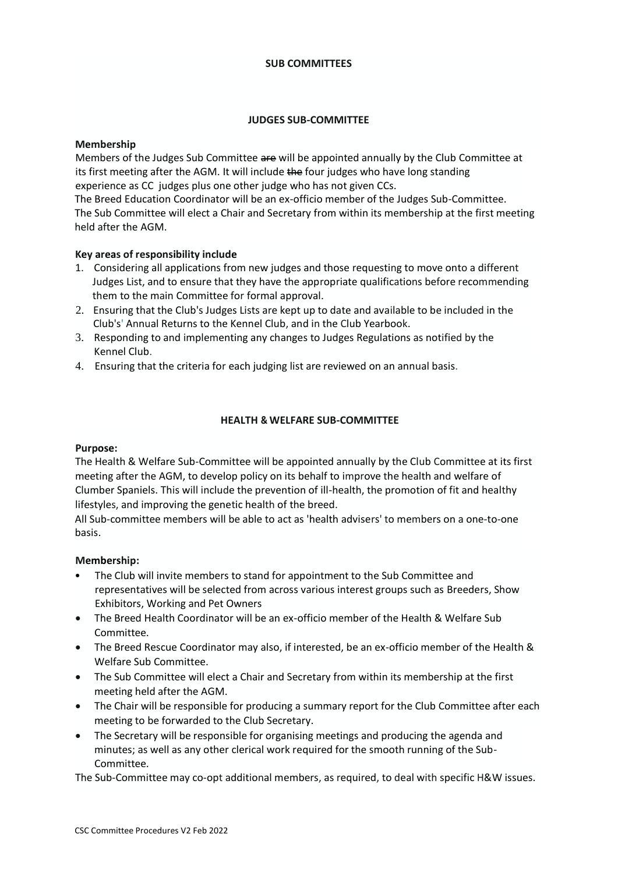#### **SUB COMMITTEES**

### **JUDGES SUB-COMMITTEE**

### **Membership**

Members of the Judges Sub Committee are will be appointed annually by the Club Committee at its first meeting after the AGM. It will include the four judges who have long standing experience as CC judges plus one other judge who has not given CCs.

The Breed Education Coordinator will be an ex-officio member of the Judges Sub-Committee. The Sub Committee will elect a Chair and Secretary from within its membership at the first meeting held after the AGM.

# **Key areas of responsibility include**

- 1. Considering all applications from new judges and those requesting to move onto a different Judges List, and to ensure that they have the appropriate qualifications before recommending them to the main Committee for formal approval.
- 2. Ensuring that the Club's Judges Lists are kept up to date and available to be included in the Club's' Annual Returns to the Kennel Club, and in the Club Yearbook.
- 3. Responding to and implementing any changes to Judges Regulations as notified by the Kennel Club.
- 4. Ensuring that the criteria for each judging list are reviewed on an annual basis.

# **HEALTH & WELFARE SUB-COMMITTEE**

### **Purpose:**

The Health & Welfare Sub-Committee will be appointed annually by the Club Committee at its first meeting after the AGM, to develop policy on its behalf to improve the health and welfare of Clumber Spaniels. This will include the prevention of ill-health, the promotion of fit and healthy lifestyles, and improving the genetic health of the breed.

All Sub-committee members will be able to act as 'health advisers' to members on a one-to-one basis.

### **Membership:**

- The Club will invite members to stand for appointment to the Sub Committee and representatives will be selected from across various interest groups such as Breeders, Show Exhibitors, Working and Pet Owners
- The Breed Health Coordinator will be an ex-officio member of the Health & Welfare Sub Committee.
- The Breed Rescue Coordinator may also, if interested, be an ex-officio member of the Health & Welfare Sub Committee.
- The Sub Committee will elect a Chair and Secretary from within its membership at the first meeting held after the AGM.
- The Chair will be responsible for producing a summary report for the Club Committee after each meeting to be forwarded to the Club Secretary.
- The Secretary will be responsible for organising meetings and producing the agenda and minutes; as well as any other clerical work required for the smooth running of the Sub-Committee.

The Sub-Committee may co-opt additional members, as required, to deal with specific H&W issues.